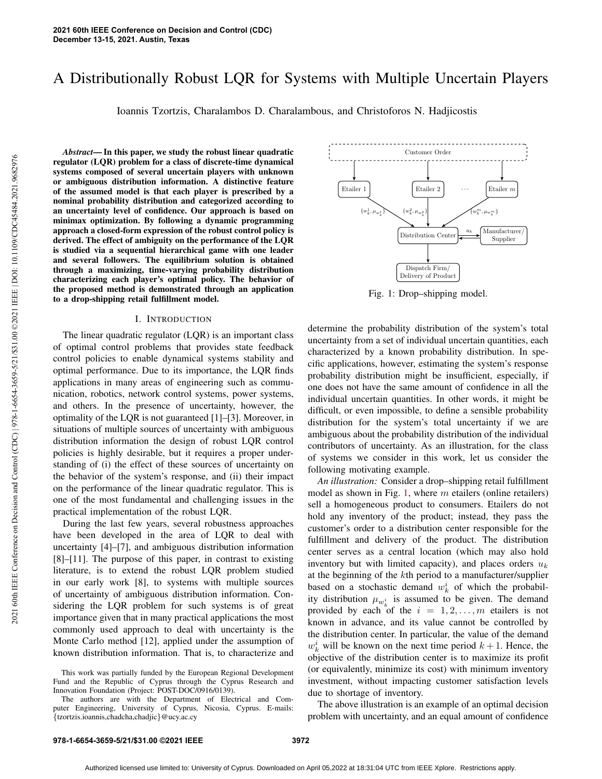# A Distributionally Robust LQR for Systems with Multiple Uncertain Players

Ioannis Tzortzis, Charalambos D. Charalambous, and Christoforos N. Hadjicostis

*Abstract*— In this paper, we study the robust linear quadratic regulator (LQR) problem for a class of discrete-time dynamical systems composed of several uncertain players with unknown or ambiguous distribution information. A distinctive feature of the assumed model is that each player is prescribed by a nominal probability distribution and categorized according to an uncertainty level of confidence. Our approach is based on minimax optimization. By following a dynamic programming approach a closed-form expression of the robust control policy is derived. The effect of ambiguity on the performance of the LQR is studied via a sequential hierarchical game with one leader and several followers. The equilibrium solution is obtained through a maximizing, time-varying probability distribution characterizing each player's optimal policy. The behavior of the proposed method is demonstrated through an application to a drop-shipping retail fulfillment model.

## I. INTRODUCTION

The linear quadratic regulator (LQR) is an important class of optimal control problems that provides state feedback control policies to enable dynamical systems stability and optimal performance. Due to its importance, the LQR finds applications in many areas of engineering such as communication, robotics, network control systems, power systems, and others. In the presence of uncertainty, however, the optimality of the LQR is not guaranteed [1]–[3]. Moreover, in situations of multiple sources of uncertainty with ambiguous distribution information the design of robust LQR control policies is highly desirable, but it requires a proper understanding of (i) the effect of these sources of uncertainty on the behavior of the system's response, and (ii) their impact on the performance of the linear quadratic regulator. This is one of the most fundamental and challenging issues in the practical implementation of the robust LQR.

During the last few years, several robustness approaches have been developed in the area of LQR to deal with uncertainty [4]–[7], and ambiguous distribution information [8]–[11]. The purpose of this paper, in contrast to existing literature, is to extend the robust LQR problem studied in our early work [8], to systems with multiple sources of uncertainty of ambiguous distribution information. Considering the LQR problem for such systems is of great importance given that in many practical applications the most commonly used approach to deal with uncertainty is the Monte Carlo method [12], applied under the assumption of known distribution information. That is, to characterize and

Fig. 1: Drop–shipping model.

determine the probability distribution of the system's total uncertainty from a set of individual uncertain quantities, each characterized by a known probability distribution. In specific applications, however, estimating the system's response probability distribution might be insufficient, especially, if one does not have the same amount of confidence in all the individual uncertain quantities. In other words, it might be difficult, or even impossible, to define a sensible probability distribution for the system's total uncertainty if we are ambiguous about the probability distribution of the individual contributors of uncertainty. As an illustration, for the class of systems we consider in this work, let us consider the following motivating example.

*An illustration:* Consider a drop–shipping retail fulfillment model as shown in Fig. 1, where  $m$  etailers (online retailers) sell a homogeneous product to consumers. Etailers do not hold any inventory of the product; instead, they pass the customer's order to a distribution center responsible for the fulfillment and delivery of the product. The distribution center serves as a central location (which may also hold inventory but with limited capacity), and places orders  $u_k$ at the beginning of the kth period to a manufacturer/supplier based on a stochastic demand  $w_k^i$  of which the probability distribution  $\mu_{w_k^i}$  is assumed to be given. The demand provided by each of the  $i = 1, 2, ..., m$  etailers is not known in advance, and its value cannot be controlled by the distribution center. In particular, the value of the demand  $w_k^i$  will be known on the next time period  $k+1$ . Hence, the objective of the distribution center is to maximize its profit (or equivalently, minimize its cost) with minimum inventory investment, without impacting customer satisfaction levels due to shortage of inventory.

The above illustration is an example of an optimal decision problem with uncertainty, and an equal amount of confidence

This work was partially funded by the European Regional Development Fund and the Republic of Cyprus through the Cyprus Research and Innovation Foundation (Project: POST-DOC/0916/0139).

The authors are with the Department of Electrical and Computer Engineering, University of Cyprus, Nicosia, Cyprus. E-mails: {tzortzis.ioannis,chadcha,chadjic}@ucy.ac.cy

Etailer 1 Etailer 2 ... Etailer  $m$ Distribution Center Dispatch Firm/ Delivery of Product Manufacturer/ Supplier Customer Order u<sup>k</sup>  $\{w_k^1, \mu_{w_k^1}\}$ k  ${w_k^2, \mu_{w_k^2}}$  $\}$   $\{w_k^m,$ k  $,\mu_{w_k^m}\}$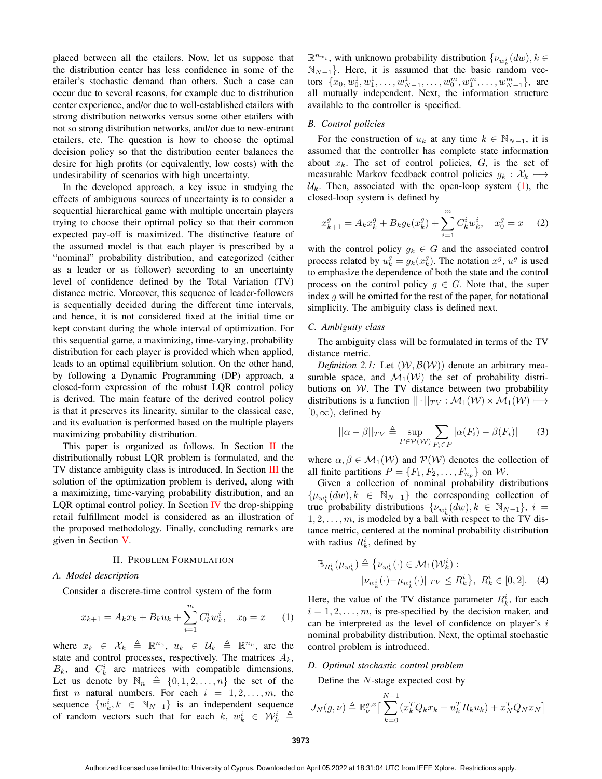placed between all the etailers. Now, let us suppose that the distribution center has less confidence in some of the etailer's stochastic demand than others. Such a case can occur due to several reasons, for example due to distribution center experience, and/or due to well-established etailers with strong distribution networks versus some other etailers with not so strong distribution networks, and/or due to new-entrant etailers, etc. The question is how to choose the optimal decision policy so that the distribution center balances the desire for high profits (or equivalently, low costs) with the undesirability of scenarios with high uncertainty.

In the developed approach, a key issue in studying the effects of ambiguous sources of uncertainty is to consider a sequential hierarchical game with multiple uncertain players trying to choose their optimal policy so that their common expected pay-off is maximized. The distinctive feature of the assumed model is that each player is prescribed by a "nominal" probability distribution, and categorized (either as a leader or as follower) according to an uncertainty level of confidence defined by the Total Variation (TV) distance metric. Moreover, this sequence of leader-followers is sequentially decided during the different time intervals, and hence, it is not considered fixed at the initial time or kept constant during the whole interval of optimization. For this sequential game, a maximizing, time-varying, probability distribution for each player is provided which when applied, leads to an optimal equilibrium solution. On the other hand, by following a Dynamic Programming (DP) approach, a closed-form expression of the robust LQR control policy is derived. The main feature of the derived control policy is that it preserves its linearity, similar to the classical case, and its evaluation is performed based on the multiple players maximizing probability distribution.

This paper is organized as follows. In Section  $\Pi$  the distributionally robust LQR problem is formulated, and the TV distance ambiguity class is introduced. In Section III the solution of the optimization problem is derived, along with a maximizing, time-varying probability distribution, and an LQR optimal control policy. In Section IV the drop-shipping retail fulfillment model is considered as an illustration of the proposed methodology. Finally, concluding remarks are given in Section V.

#### II. PROBLEM FORMULATION

## *A. Model description*

Consider a discrete-time control system of the form

$$
x_{k+1} = A_k x_k + B_k u_k + \sum_{i=1}^{m} C_k^i w_k^i, \quad x_0 = x \quad (1)
$$

where  $x_k \in \mathcal{X}_k \triangleq \mathbb{R}^{n_x}$ ,  $u_k \in \mathcal{U}_k \triangleq \mathbb{R}^{n_u}$ , are the state and control processes, respectively. The matrices  $A_k$ ,  $B_k$ , and  $C_k^i$  are matrices with compatible dimensions. Let us denote by  $\mathbb{N}_n \triangleq \{0, 1, 2, \ldots, n\}$  the set of the first *n* natural numbers. For each  $i = 1, 2, \ldots, m$ , the sequence  $\{w_k^i, k \in \mathbb{N}_{N-1}\}\$  is an independent sequence of random vectors such that for each  $\overline{k}$ ,  $w_k^i \in \mathcal{W}_k^i \triangleq$ 

 $\mathbb{R}^{n_{w_i}}$ , with unknown probability distribution  $\{v_{w_i^i}(dw), k \in$  $\mathbb{N}_{N-1}$ }. Here, it is assumed that the basic random vectors  $\{x_0, w_0^1, w_1^1, \ldots, w_{N-1}^1, \ldots, w_0^m, w_1^m, \ldots, w_{N-1}^m\}$ , are all mutually independent. Next, the information structure available to the controller is specified.

## *B. Control policies*

For the construction of  $u_k$  at any time  $k \in \mathbb{N}_{N-1}$ , it is assumed that the controller has complete state information about  $x_k$ . The set of control policies,  $G$ , is the set of measurable Markov feedback control policies  $g_k : \mathcal{X}_k \longmapsto$  $U_k$ . Then, associated with the open-loop system (1), the closed-loop system is defined by

$$
x_{k+1}^g = A_k x_k^g + B_k g_k(x_k^g) + \sum_{i=1}^m C_k^i w_k^i, \quad x_0^g = x \quad (2)
$$

with the control policy  $g_k \in G$  and the associated control process related by  $u_k^g = g_k(x_k^g)$ . The notation  $x^g$ ,  $u^g$  is used to emphasize the dependence of both the state and the control process on the control policy  $g \in G$ . Note that, the super index  $g$  will be omitted for the rest of the paper, for notational simplicity. The ambiguity class is defined next.

#### *C. Ambiguity class*

The ambiguity class will be formulated in terms of the TV distance metric.

*Definition 2.1:* Let  $(W, \mathcal{B}(W))$  denote an arbitrary measurable space, and  $\mathcal{M}_1(\mathcal{W})$  the set of probability distributions on  $W$ . The TV distance between two probability distributions is a function  $|| \cdot ||_{TV} : \mathcal{M}_1(\mathcal{W}) \times \mathcal{M}_1(\mathcal{W}) \longmapsto$  $[0, \infty)$ , defined by

$$
||\alpha - \beta||_{TV} \triangleq \sup_{P \in \mathcal{P}(\mathcal{W})} \sum_{F_i \in P} |\alpha(F_i) - \beta(F_i)| \qquad (3)
$$

where  $\alpha, \beta \in M_1(W)$  and  $P(W)$  denotes the collection of all finite partitions  $P = \{F_1, F_2, \dots, F_{n_p}\}\$ on  $\mathcal{W}$ .

Given a collection of nominal probability distributions  $\{\mu_{w_k^i}(dw), k \in \mathbb{N}_{N-1}\}\$  the corresponding collection of true probability distributions  $\{v_{w_k^i}(dw), k \in \mathbb{N}_{N-1}\}, i =$  $1, 2, \ldots, m$ , is modeled by a ball with respect to the TV distance metric, centered at the nominal probability distribution with radius  $R_k^i$ , defined by

$$
\mathbb{B}_{R_k^i}(\mu_{w_k^i}) \triangleq \{ \nu_{w_k^i}(\cdot) \in \mathcal{M}_1(\mathcal{W}_k^i) : \\ ||\nu_{w_k^i}(\cdot) - \mu_{w_k^i}(\cdot)||_{TV} \le R_k^i \}, R_k^i \in [0, 2]. \tag{4}
$$

Here, the value of the TV distance parameter  $R_k^i$ , for each  $i = 1, 2, \ldots, m$ , is pre-specified by the decision maker, and can be interpreted as the level of confidence on player's i nominal probability distribution. Next, the optimal stochastic control problem is introduced.

## *D. Optimal stochastic control problem*

Define the N-stage expected cost by

$$
J_N(g,\nu) \triangleq \mathbb{E}^{g,x}_{\nu} \left[ \sum_{k=0}^{N-1} (x_k^T Q_k x_k + u_k^T R_k u_k) + x_N^T Q_N x_N \right]
$$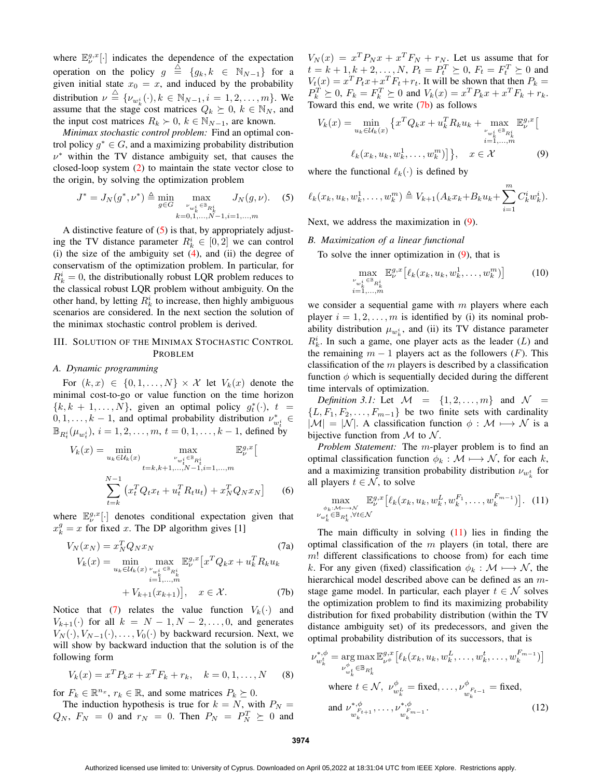where  $\mathbb{E}_{\nu}^{g,x}[\cdot]$  indicates the dependence of the expectation operation on the policy  $g \triangleq \{g_k, k \in \mathbb{N}_{N-1}\}\$  for a given initial state  $x_0 = x$ , and induced by the probability distribution  $\nu \stackrel{\triangle}{=} {\{\nu_{w_k^i}(\cdot), k \in \mathbb{N}_{N-1}, i = 1, 2, \ldots, m\}}$ . We assume that the stage cost matrices  $Q_k \succeq 0, k \in \mathbb{N}_N$ , and the input cost matrices  $R_k$  > 0,  $k \in \mathbb{N}_{N-1}$ , are known.

*Minimax stochastic control problem:* Find an optimal control policy  $g^* \in G$ , and a maximizing probability distribution  $\nu^*$  within the TV distance ambiguity set, that causes the closed-loop system (2) to maintain the state vector close to the origin, by solving the optimization problem

$$
J^* = J_N(g^*, \nu^*) \triangleq \min_{g \in G} \max_{\substack{\nu_{w_k^i} \in \mathbb{B}_{R_k^i} \\ k=0,1,\dots,N-1, i=1,\dots,m}} J_N(g, \nu). \tag{5}
$$

A distinctive feature of (5) is that, by appropriately adjusting the TV distance parameter  $R_k^i \in [0,2]$  we can control (i) the size of the ambiguity set  $(4)$ , and (ii) the degree of conservatism of the optimization problem. In particular, for  $R_k^i = 0$ , the distributionally robust LQR problem reduces to the classical robust LQR problem without ambiguity. On the other hand, by letting  $R_k^i$  to increase, then highly ambiguous scenarios are considered. In the next section the solution of the minimax stochastic control problem is derived.

## III. SOLUTION OF THE MINIMAX STOCHASTIC CONTROL PROBLEM

## *A. Dynamic programming*

For  $(k, x) \in \{0, 1, \ldots, N\} \times \mathcal{X}$  let  $V_k(x)$  denote the minimal cost-to-go or value function on the time horizon  ${k, k + 1, ..., N}$ , given an optimal policy  $g_t^*(\cdot)$ ,  $t =$  $(0, 1, \ldots, k-1)$ , and optimal probability distribution  $\nu_{w_t^i}^* \in$  $\mathbb{B}_{R_t^i}(\mu_{w_t^i}),\, i=1,2,\ldots,m,\, t=0,1,\ldots,k-1,$  defined by

$$
V_k(x) = \min_{u_k \in \mathcal{U}_k(x)} \max_{\substack{v_{w_t^i} \in \mathbb{B}_{R_t^i} \\ t = k, k+1, ..., N-1, i=1, ..., m}} \mathbb{E}_{\nu}^{g, x} \left[
$$
  

$$
\sum_{t=k}^{N-1} \left( x_t^T Q_t x_t + u_t^T R_t u_t \right) + x_N^T Q_N x_N \right]
$$
(6)

where  $\mathbb{E}_{\nu}^{g,x}[\cdot]$  denotes conditional expectation given that  $x_k^g = x$  for fixed x. The DP algorithm gives [1]

$$
V_N(x_N) = x_N^T Q_N x_N
$$
\n
$$
V_k(x) = \min_{u_k \in \mathcal{U}_k(x)} \max_{\substack{v_{w_k^i} \in \mathbb{B}_{R_k^i} \\ i = 1, \dots, m}} \mathbb{E}_\nu^{g,x} \left[ x^T Q_k x + u_k^T R_k u_k \right. + V_{k+1}(x_{k+1}) \right], \quad x \in \mathcal{X}.
$$
\n(7b)

Notice that (7) relates the value function  $V_k(\cdot)$  and  $V_{k+1}(\cdot)$  for all  $k = N - 1, N - 2, \ldots, 0$ , and generates  $V_N(\cdot), V_{N-1}(\cdot), \ldots, V_0(\cdot)$  by backward recursion. Next, we will show by backward induction that the solution is of the following form

$$
V_k(x) = x^T P_k x + x^T F_k + r_k, \quad k = 0, 1, ..., N
$$
 (8)

for  $F_k \in \mathbb{R}^{n_x}$ ,  $r_k \in \mathbb{R}$ , and some matrices  $P_k \succeq 0$ .

The induction hypothesis is true for  $k = N$ , with  $P_N =$  $Q_N$ ,  $F_N = 0$  and  $r_N = 0$ . Then  $P_N = P_N^T \succeq 0$  and

 $V_N(x) = x^T P_N x + x^T F_N + r_N$ . Let us assume that for  $t = k + 1, k + 2, ..., N$ ,  $P_t = P_t^T \succeq 0$ ,  $F_t = F_t^T \succeq 0$  and  $V_t(x) = x^T P_t x + x^T F_t + r_t$ . It will be shown that then  $P_k =$  $P_k^T \geq 0, F_k = F_k^T \geq 0$  and  $V_k(x) = x^T P_k x + x^T F_k + r_k$ . Toward this end, we write  $(7b)$  as follows

$$
V_k(x) = \min_{u_k \in U_k(x)} \left\{ x^T Q_k x + u_k^T R_k u_k + \max_{\substack{\nu_{w_k^i} \in \mathbb{B}_{R_k^i} \\ i=1,\dots,m}} \mathbb{E}_{\nu}^{g,x} \right[
$$
  

$$
\ell_k(x_k, u_k, w_k^1, \dots, w_k^m) \right\}, \quad x \in \mathcal{X}
$$
 (9)

where the functional  $\ell_k(\cdot)$  is defined by

$$
\ell_k(x_k, u_k, w_k^1, \dots, w_k^m) \triangleq V_{k+1}(A_k x_k + B_k u_k + \sum_{i=1}^m C_k^i w_k^i).
$$

Next, we address the maximization in (9).

## *B. Maximization of a linear functional*

To solve the inner optimization in  $(9)$ , that is

$$
\max_{\substack{\nu_{w_k^i} \in \mathbb{B}_{R_k^i} \\ i=1,\dots,m}} \mathbb{E}_{\nu}^{g,x} \left[ \ell_k(x_k, u_k, w_k^1, \dots, w_k^m) \right] \tag{10}
$$

we consider a sequential game with  $m$  players where each player  $i = 1, 2, \ldots, m$  is identified by (i) its nominal probability distribution  $\mu_{w_k^i}$ , and (ii) its TV distance parameter  $R_k^i$ . In such a game, one player acts as the leader  $(L)$  and the remaining  $m - 1$  players act as the followers (F). This classification of the  $m$  players is described by a classification function  $\phi$  which is sequentially decided during the different time intervals of optimization.

*Definition 3.1:* Let  $\mathcal{M} = \{1, 2, \ldots, m\}$  and  $\mathcal{N} =$  $\{L, F_1, F_2, \ldots, F_{m-1}\}\$  be two finite sets with cardinality  $|\mathcal{M}| = |\mathcal{N}|$ . A classification function  $\phi : \mathcal{M} \longmapsto \mathcal{N}$  is a bijective function from  $M$  to  $N$ .

*Problem Statement:* The m-player problem is to find an optimal classification function  $\phi_k : \mathcal{M} \longmapsto \mathcal{N}$ , for each k, and a maximizing transition probability distribution  $\nu_{w_k^t}$  for all players  $t \in \mathcal{N}$ , to solve

$$
\max_{\substack{\phi_k:\mathcal{M}\longmapsto\mathcal{N}\\ \nu_{w_k^t}\in\mathbb{B}_{R_k^t},\forall t\in\mathcal{N}}} \mathbb{E}_{\nu}^{g,x} \big[\ell_k(x_k, u_k, w_k^L, w_k^{F_1}, \dots, w_k^{F_{m-1}})\big].
$$
 (11)

The main difficulty in solving  $(11)$  lies in finding the optimal classification of the  $m$  players (in total, there are  $m!$  different classifications to choose from) for each time k. For any given (fixed) classification  $\phi_k : \mathcal{M} \longmapsto \mathcal{N}$ , the hierarchical model described above can be defined as an mstage game model. In particular, each player  $t \in \mathcal{N}$  solves the optimization problem to find its maximizing probability distribution for fixed probability distribution (within the TV distance ambiguity set) of its predecessors, and given the optimal probability distribution of its successors, that is

$$
\nu_{w_k^t}^{*,\phi} = \underset{\nu_{w_k^t}^{\phi} \in \mathbb{B}_{R_k^t}}{\arg \max} \mathbb{E}_{\nu_{\phi}^{\phi}}^{g,x} \left[ \ell_k(x_k, u_k, w_k^L, \dots, w_k^t, \dots, w_k^{F_{m-1}}) \right]
$$
\nwhere  $t \in \mathcal{N}$ ,  $\nu_{w_k^t}^{\phi} = \text{fixed}, \dots, \nu_{w_k^F t-1}^{\phi} = \text{fixed},$   
\nand  $\nu_{w_k^{F_{t+1}}}, \dots, \nu_{w_k^{F_{m-1}}}^{*,\phi}$ . (12)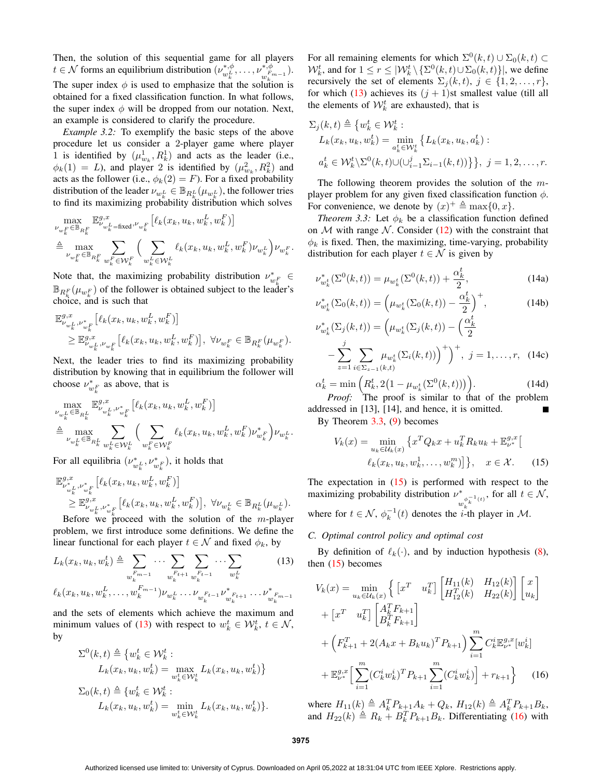Then, the solution of this sequential game for all players  $t \in \mathcal{N}$  forms an equilibrium distribution  $(\nu_{n,L}^{*,\phi})$  $\langle w_k^{*,\phi}, \ldots, \nu_{w_L^{F_q}}^{*,\phi} \rangle$  $(\begin{smallmatrix} * & \phi & \ * & \rho & \ h^Fm-1 & \end{smallmatrix}).$ The super index  $\phi$  is used to emphasize that the solution is obtained for a fixed classification function. In what follows, the super index  $\phi$  will be dropped from our notation. Next, an example is considered to clarify the procedure.

*Example 3.2:* To exemplify the basic steps of the above procedure let us consider a 2-player game where player 1 is identified by  $(\mu_{w_k}^1, R_k^1)$  and acts as the leader (i.e.,  $\phi_k(1) = L$ ), and player 2 is identified by  $(\mu_{w_k}^2, R_k^2)$  and acts as the follower (i.e.,  $\phi_k(2) = F$ ). For a fixed probability distribution of the leader  $\nu_{w_k^L} \in \mathbb{B}_{R_k^L}(\mu_{w_k^L})$ , the follower tries to find its maximizing probability distribution which solves

$$
\begin{aligned} &\max_{\nu_{w_k^F} \in \mathbb{B}_{R_k^F}} \mathbb{E}^{g,x}_{\nu_{w_k^L = \text{fixed}}, \nu_{w_k^F}} \big[ \ell_k(x_k, u_k, w_k^L, w_k^F) \big] \\ &\triangleq \max_{\nu_{w_k^F} \in \mathbb{B}_{R_k^F}} \sum_{w_k^F \in \mathcal{W}_k^F} \Big( \sum_{w_k^L \in \mathcal{W}_k^L} \ell_k(x_k, u_k, w_k^L, w_k^F) \nu_{w_k^L} \Big) \nu_{w_k^F}. \end{aligned}
$$

Note that, the maximizing probability distribution  $\nu_{w_k^F}^* \in$  $\mathbb{B}_{R_k^F}(\mu_{w_k^F})$  of the follower is obtained subject to the leader's choice, and is such that

$$
\label{eq:4.1} \begin{split} &\mathbb{E}^{g,x}_{\nu_{w_k^L},\nu^*_{w_k^F}}\left[\ell_k(x_k,u_k,w_k^L,w_k^F)\right]\\ &\geq \mathbb{E}^{g,x}_{\nu_{w_k^L},\nu_{w_k^F}}\left[\ell_k(x_k,u_k,w_k^L,w_k^F)\right],~\forall \nu_{w_k^F}\in\mathbb{B}_{R_k^F}(\mu_{w_k^F}). \end{split}
$$

Next, the leader tries to find its maximizing probability distribution by knowing that in equilibrium the follower will choose  $\nu_{w_k^F}^*$  as above, that is

$$
\begin{split} & \max_{\nu_{w_k^L} \in \mathbb{B}_{R_k^L}} \mathbb{E}^{g,x}_{\nu_{w_k^L}, \nu^*_{w_k^F}} \left[ \ell_k(x_k, u_k, w_k^L, w_k^F) \right] \\ & \triangleq \max_{\nu_{w_k^L} \in \mathbb{B}_{R_k^L}} \sum_{w_k^L \in \mathcal{W}_k^L} \Big( \sum_{w_k^F \in \mathcal{W}_k^F} \ell_k(x_k, u_k, w_k^L, w_k^F) \nu^*_{w_k^F} \Big) \nu_{w_k^L}. \end{split}
$$

For all equilibria  $(\nu_{w_k^L}^*, \nu_{w_k^F}^*)$ , it holds that

$$
\mathbb{E}_{\nu_{w_k}^* \nu_{w_k}^*}^{\mathcal{B},x} [\ell_k(x_k, u_k, w_k^L, w_k^F)]
$$
\n
$$
\geq \mathbb{E}_{\nu_{w_k}^* \nu_{w_k}^*}^{\mathcal{G},x} [\ell_k(x_k, u_k, w_k^L, w_k^F)], \ \forall \nu_{w_k^L} \in \mathbb{B}_{R_k^L}(\mu_{w_k^L}).
$$
\nBefore we proceed with the solution of the *m*-player

problem, we first introduce some definitions. We define the linear functional for each player  $t \in \mathcal{N}$  and fixed  $\phi_k$ , by

$$
L_{k}(x_{k}, u_{k}, w_{k}^{t}) \triangleq \sum_{w_{k}^{F_{m-1}}} \cdots \sum_{w_{k}^{F_{t+1}}} \sum_{w_{k}^{F_{t-1}}} \cdots \sum_{w_{k}^{L}} (13)
$$
  

$$
\ell_{k}(x_{k}, u_{k}, w_{k}^{L}, \ldots, w_{k}^{F_{m-1}}) \nu_{w_{k}^{L}} \cdots \nu_{w_{k}^{F_{t-1}}} \nu_{w_{k}^{F_{t+1}}}^{*} \cdots \nu_{w_{k}^{F_{m-1}}}^{*}
$$

and the sets of elements which achieve the maximum and minimum values of (13) with respect to  $w_k^t \in \mathcal{W}_k^t$ ,  $t \in \mathcal{N}$ , by

$$
\Sigma^{0}(k,t) \triangleq \{w_k^t \in \mathcal{W}_k^t : \nL_k(x_k, u_k, w_k^t) = \max_{w_k^t \in \mathcal{W}_k^t} L_k(x_k, u_k, w_k^t)\} \n\Sigma_0(k,t) \triangleq \{w_k^t \in \mathcal{W}_k^t : \nL_k(x_k, u_k, w_k^t) = \min_{w_k^t \in \mathcal{W}_k^t} L_k(x_k, u_k, w_k^t)\}.
$$

For all remaining elements for which  $\Sigma^0(k,t) \cup \Sigma_0(k,t) \subset$  $\mathcal{W}_k^t$ , and for  $1 \le r \le |\mathcal{W}_k^t \setminus {\{\Sigma^0(k,t) \cup \Sigma_0(k,t)\}}|$ , we define recursively the set of elements  $\Sigma_i(k, t)$ ,  $j \in \{1, 2, ..., r\}$ , for which (13) achieves its  $(j + 1)$ st smallest value (till all the elements of  $W_k^t$  are exhausted), that is

$$
\Sigma_j(k,t) \triangleq \{w_k^t \in \mathcal{W}_k^t : \nL_k(x_k, u_k, w_k^t) = \min_{a_k^t \in \mathcal{W}_k^t} \{L_k(x_k, u_k, a_k^t) : \na_k^t \in \mathcal{W}_k^t \setminus \Sigma^0(k,t) \cup (\cup_{i=1}^j \Sigma_{i-1}(k,t))\}, \ j = 1, 2, ..., r.
$$

The following theorem provides the solution of the  $m$ player problem for any given fixed classification function  $\phi$ . For convenience, we denote by  $(x)^{+} \triangleq \max\{0, x\}.$ 

*Theorem 3.3:* Let  $\phi_k$  be a classification function defined on  $M$  with range  $N$ . Consider (12) with the constraint that  $\phi_k$  is fixed. Then, the maximizing, time-varying, probability distribution for each player  $t \in \mathcal{N}$  is given by

$$
\nu_{w_k^t}^*(\Sigma^0(k,t)) = \mu_{w_k^t}(\Sigma^0(k,t)) + \frac{\alpha_k^t}{2},
$$
\n(14a)

$$
\nu_{w_k^t}^*(\Sigma_0(k,t)) = \left(\mu_{w_k^t}(\Sigma_0(k,t)) - \frac{\alpha_k^t}{2}\right)^+, \tag{14b}
$$

$$
\nu_{w_k^t}^*(\Sigma_j(k,t)) = \left(\mu_{w_k^t}(\Sigma_j(k,t)) - \left(\frac{\alpha_k^t}{2}\right) - \sum_{z=1}^j \sum_{i \in \Sigma_{z-1}(k,t)} \mu_{w_k^t}(\Sigma_i(k,t))\right)^+\right)^+, \ j = 1, \dots, r, \ (14c)
$$

$$
\alpha_k^t = \min\left(R_k^t, 2\left(1 - \mu_{w_k^t}(\Sigma^0(k, t))\right)\right).
$$
\nProof:

\nThe proof is similar to that of the problem.

*Proof:* The proof is similar to that of the problem addressed in [13], [14], and hence, it is omitted. By Theorem 3.3, (9) becomes

$$
V_k(x) = \min_{u_k \in \mathcal{U}_k(x)} \left\{ x^T Q_k x + u_k^T R_k u_k + \mathbb{E}_{\nu^*}^{g,x} \right[ \\
\ell_k(x_k, u_k, w_k^1, \dots, w_k^m) \right\}, \quad x \in \mathcal{X}.
$$
 (15)

The expectation in  $(15)$  is performed with respect to the maximizing probability distribution  $\nu^*$  $\int_{w_k^{\phi_k^{-1}}(t)}^{\ast}$ , for all  $t \in \mathcal{N}$ , where for  $t \in \mathcal{N}$ ,  $\phi_k^{-1}(t)$  denotes the *i*-th player in  $\mathcal{M}$ .

## *C. Optimal control policy and optimal cost*

By definition of  $\ell_k(\cdot)$ , and by induction hypothesis (8), then  $(15)$  becomes

$$
V_k(x) = \min_{u_k \in \mathcal{U}_k(x)} \left\{ \begin{bmatrix} x^T & u_k^T \end{bmatrix} \begin{bmatrix} H_{11}(k) & H_{12}(k) \\ H_{12}^T(k) & H_{22}(k) \end{bmatrix} \begin{bmatrix} x \\ u_k \end{bmatrix} \right.
$$

$$
+ \begin{bmatrix} x^T & u_k^T \end{bmatrix} \begin{bmatrix} A_k^T F_{k+1} \\ B_k^T F_{k+1} \end{bmatrix}
$$

$$
+ \left( F_{k+1}^T + 2(A_k x + B_k u_k)^T P_{k+1} \right) \sum_{i=1}^m C_k^i \mathbb{E}_{\nu^*}^{g,x} [w_k^i]
$$

$$
+ \mathbb{E}_{\nu^*}^{g,x} \Big[ \sum_{i=1}^m (C_k^i w_k^i)^T P_{k+1} \sum_{i=1}^m (C_k^i w_k^i) \Big] + r_{k+1} \right\} \qquad (16)
$$

where  $H_{11}(k) \triangleq A_k^T P_{k+1} A_k + Q_k$ ,  $H_{12}(k) \triangleq A_k^T P_{k+1} B_k$ , and  $H_{22}(k) \triangleq R_k + B_k^T P_{k+1} B_k$ . Differentiating (16) with

**3975**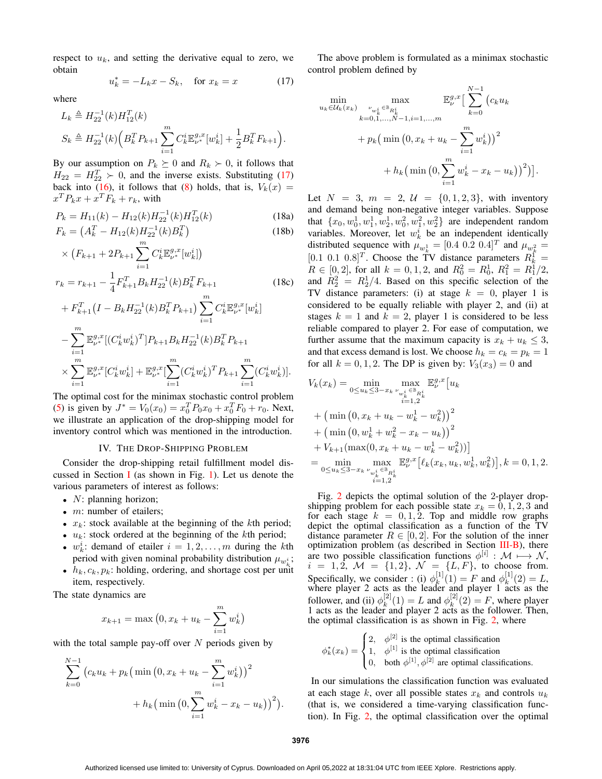respect to  $u_k$ , and setting the derivative equal to zero, we obtain

$$
u_k^* = -L_k x - S_k, \quad \text{for } x_k = x \tag{17}
$$

where

$$
L_k \triangleq H_{22}^{-1}(k)H_{12}^T(k)
$$
  

$$
S_k \triangleq H_{22}^{-1}(k) \Big( B_k^T P_{k+1} \sum_{i=1}^m C_k^i \mathbb{E}_{\nu^*}^{g,x}[w_k^i] + \frac{1}{2} B_k^T F_{k+1} \Big).
$$

By our assumption on  $P_k \succeq 0$  and  $R_k \succ 0$ , it follows that  $H_{22} = H_{22}^T \succ 0$ , and the inverse exists. Substituting (17) back into (16), it follows that (8) holds, that is,  $V_k(x) =$  $x^T P_k x + x^T F_k + r_k$ , with

$$
P_k = H_{11}(k) - H_{12}(k)H_{22}^{-1}(k)H_{12}^T(k)
$$
\n(18a)

$$
F_k = \left(A_k^T - H_{12}(k)H_{22}^{-1}(k)B_k^T\right)
$$
\n(18b)

$$
\times (F_{k+1} + 2P_{k+1} \sum_{i=1}^{m} C_k^i \mathbb{E}_{\nu^*}^{g,x} [w_k^i])
$$
  
\n
$$
r_k = r_{k+1} - \frac{1}{4} F_{k+1}^T B_k H_{22}^{-1}(k) B_k^T F_{k+1}
$$
 (18c)  
\n
$$
+ F_{k+1}^T (I - B_k H_{22}^{-1}(k) B_k^T P_{k+1}) \sum_{i=1}^{m} C_k^i \mathbb{E}_{\nu^*}^{g,x} [w_k^i]
$$

+ 
$$
F_{k+1}(I - D_k H_{22}(\kappa)D_k F_{k+1}) \sum_{i=1}^{n} C_k \mathbb{E}_{\nu^*} [w_k]
$$
  
\n $- \sum_{i=1}^{m} \mathbb{E}_{\nu^*}^{g,x} [(C_k^i w_k^i)^T] P_{k+1} B_k H_{22}^{-1}(k) B_k^T P_{k+1}$   
\n $\times \sum_{i=1}^{m} \mathbb{E}_{\nu^*}^{g,x} [C_k^i w_k^i] + \mathbb{E}_{\nu^*}^{g,x} [\sum_{i=1}^{m} (C_k^i w_k^i)^T P_{k+1} \sum_{i=1}^{m} (C_k^i w_k^i)].$ 

The optimal cost for the minimax stochastic control problem (5) is given by  $J^* = V_0(x_0) = x_0^T P_0 x_0 + x_0^T F_0 + r_0$ . Next, we illustrate an application of the drop-shipping model for inventory control which was mentioned in the introduction.

## IV. THE DROP-SHIPPING PROBLEM

Consider the drop-shipping retail fulfillment model discussed in Section I (as shown in Fig. 1). Let us denote the various parameters of interest as follows:

- $N:$  planning horizon;
- $m$ : number of etailers;
- $x_k$ : stock available at the beginning of the kth period;
- $u_k$ : stock ordered at the beginning of the kth period;
- $w_k^i$ : demand of etailer  $i = 1, 2, ..., m$  during the kth period with given nominal probability distribution  $\mu_{w_k}$ ;
- $h_k, c_k, p_k$ : holding, ordering, and shortage cost per unit item, respectively.

The state dynamics are

$$
x_{k+1} = \max (0, x_k + u_k - \sum_{i=1}^{m} w_k^{i})
$$

with the total sample pay-off over  $N$  periods given by

$$
\sum_{k=0}^{N-1} (c_k u_k + p_k (\min (0, x_k + u_k - \sum_{i=1}^m w_k^i))^2
$$
  
+  $h_k (\min (0, \sum_{i=1}^m w_k^i - x_k - u_k))^2).$ 

The above problem is formulated as a minimax stochastic control problem defined by

$$
\min_{u_k \in \mathcal{U}_k(x_k)} \max_{\substack{v_{w_k^i} \in \mathbb{B}_{R_k^i} \\ k=0,1,\dots,N-1, i=1,\dots,m}} \mathbb{E}_{\nu}^{g,x} \Big[ \sum_{k=0}^{N-1} (c_k u_k + c_{k-1}, \dots, c_{k-1} u_k) \Big]^{q}
$$

$$
+ p_k \Big( \min\big(0, x_k + u_k - \sum_{i=1}^m w_k^i\big)\Big)^2 + h_k \Big( \min\big(0, \sum_{i=1}^m w_k^i - x_k - u_k\big)\Big)^2 \Big) \Big].
$$

Let  $N = 3$ ,  $m = 2$ ,  $U = \{0, 1, 2, 3\}$ , with inventory and demand being non-negative integer variables. Suppose that  $\{x_0, w_0^1, w_1^1, w_2^1, w_0^2, w_1^2, w_2^2\}$  are independent random variables. Moreover, let  $w_k^i$  be an independent identically distributed sequence with  $\mu_{w_k^1} = [0.4 \ 0.2 \ 0.4]^T$  and  $\mu_{w_k^2} =$ [0.1 0.1 0.8]<sup>T</sup>. Choose the TV distance parameters  $R_k^{\int_{-k}^k}$  $R \in [0, 2]$ , for all  $k = 0, 1, 2$ , and  $R_0^2 = R_0^1$ ,  $R_1^2 = R_1^1/2$ , and  $R_2^2 = R_2^1/4$ . Based on this specific selection of the TV distance parameters: (i) at stage  $k = 0$ , player 1 is considered to be equally reliable with player 2, and (ii) at stages  $k = 1$  and  $k = 2$ , player 1 is considered to be less reliable compared to player 2. For ease of computation, we further assume that the maximum capacity is  $x_k + u_k \leq 3$ , and that excess demand is lost. We choose  $h_k = c_k = p_k = 1$ for all  $k = 0, 1, 2$ . The DP is given by:  $V_3(x_3) = 0$  and

$$
V_k(x_k) = \min_{0 \le u_k \le 3-x_k} \max_{\substack{v_{w_k^i} \in \mathbb{B}_{R_k^i} \\ i=1,2}} \mathbb{E}_\nu^{g,x} [u_k + (\min(0, x_k + u_k - w_k^1 - w_k^2))^2
$$
  
+  $(\min(0, w_k^1 + w_k^2 - x_k - u_k))^2$   
+  $V_{k+1}(\max(0, x_k + u_k - w_k^1 - w_k^2))$   
=  $\min_{0 \le u_k \le 3-x_k} \max_{\substack{v_{w_k^i} \in \mathbb{B}_{R_k^i} \\ i=1,2}} \mathbb{E}_\nu^{g,x} [\ell_k(x_k, u_k, w_k^1, w_k^2)], k = 0, 1, 2.$ 

Fig. 2 depicts the optimal solution of the 2-player dropshipping problem for each possible state  $x_k = 0, 1, 2, 3$  and for each stage  $k = 0, 1, 2$ . Top and middle row graphs depict the optimal classification as a function of the TV distance parameter  $R \in [0, 2]$ . For the solution of the inner optimization problem (as described in Section III-B), there are two possible classification functions  $\phi^{[i]} : \mathcal{M} \longmapsto \mathcal{N}$ ,  $i = 1, 2, \mathcal{M} = \{1, 2\}, \ \mathcal{N} = \{L, F\}, \ \text{to choose from}.$ Specifically, we consider : (i)  $\phi_k^{[1]}$  $\kappa^{[1]}(1) = F$  and  $\phi_k^{[1]}$  $k^{\{1\}}(2) = L,$ where player 2 acts as the leader and player 1 acts as the follower, and (ii)  $\phi_k^{[2]}$  $\binom{[2]}{k}(1) = L$  and  $\phi_k^{[2]}$  $k^{[2]}(2) = F$ , where player 1 acts as the leader and player 2 acts as the follower. Then, the optimal classification is as shown in Fig. 2, where

$$
\phi_k^*(x_k) = \begin{cases} 2, & \phi^{[2]} \text{ is the optimal classification} \\ 1, & \phi^{[1]} \text{ is the optimal classification} \\ 0, & \text{both } \phi^{[1]}, \phi^{[2]} \text{ are optimal classifications.} \end{cases}
$$

In our simulations the classification function was evaluated at each stage k, over all possible states  $x_k$  and controls  $u_k$ (that is, we considered a time-varying classification function). In Fig. 2, the optimal classification over the optimal

**3976**